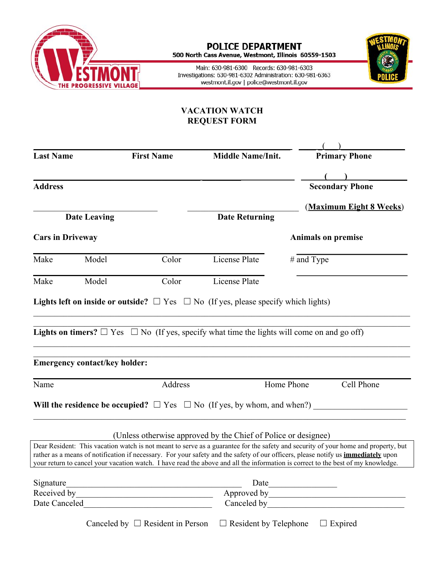

## **POLICE DEPARTMENT**<br>500 North Cass Avenue, Westmont, Illinois 60559-1503

Main: 630-981-6300 Records: 630-981-6303 Investigations: 630-981-6302 Administration: 630-981-6363 westmont.il.gov | police@westmont.il.gov



## **VACATION WATCH REQUEST FORM**

| <b>Last Name</b>        | <b>First Name</b>                    |                                       | <b>Middle Name/Init.</b>                                                                                                                                                                                                                                                     |            | <b>Primary Phone</b>                                                                                                               |  |
|-------------------------|--------------------------------------|---------------------------------------|------------------------------------------------------------------------------------------------------------------------------------------------------------------------------------------------------------------------------------------------------------------------------|------------|------------------------------------------------------------------------------------------------------------------------------------|--|
|                         |                                      |                                       |                                                                                                                                                                                                                                                                              |            |                                                                                                                                    |  |
| <b>Address</b>          |                                      |                                       |                                                                                                                                                                                                                                                                              |            | <b>Secondary Phone</b>                                                                                                             |  |
|                         |                                      |                                       |                                                                                                                                                                                                                                                                              |            | (Maximum Eight 8 Weeks)                                                                                                            |  |
| <b>Date Leaving</b>     |                                      |                                       | <b>Date Returning</b>                                                                                                                                                                                                                                                        |            |                                                                                                                                    |  |
| <b>Cars in Driveway</b> |                                      |                                       | <b>Animals on premise</b>                                                                                                                                                                                                                                                    |            |                                                                                                                                    |  |
| Make                    | Model                                | Color                                 | License Plate                                                                                                                                                                                                                                                                | # and Type |                                                                                                                                    |  |
| Make                    | Model                                | Color                                 | License Plate                                                                                                                                                                                                                                                                |            |                                                                                                                                    |  |
|                         |                                      |                                       | <b>Lights left on inside or outside?</b> $\Box$ Yes $\Box$ No (If yes, please specify which lights)                                                                                                                                                                          |            |                                                                                                                                    |  |
|                         |                                      |                                       |                                                                                                                                                                                                                                                                              |            |                                                                                                                                    |  |
|                         |                                      |                                       | <b>Lights on timers?</b> $\Box$ Yes $\Box$ No (If yes, specify what time the lights will come on and go off)                                                                                                                                                                 |            |                                                                                                                                    |  |
|                         |                                      |                                       |                                                                                                                                                                                                                                                                              |            |                                                                                                                                    |  |
|                         | <b>Emergency contact/key holder:</b> |                                       |                                                                                                                                                                                                                                                                              |            |                                                                                                                                    |  |
| Name                    |                                      | Address                               |                                                                                                                                                                                                                                                                              | Home Phone | Cell Phone                                                                                                                         |  |
|                         |                                      |                                       | Will the residence be occupied? $\Box$ Yes $\Box$ No (If yes, by whom, and when?)                                                                                                                                                                                            |            |                                                                                                                                    |  |
|                         |                                      |                                       |                                                                                                                                                                                                                                                                              |            |                                                                                                                                    |  |
|                         |                                      |                                       | (Unless otherwise approved by the Chief of Police or designee)                                                                                                                                                                                                               |            |                                                                                                                                    |  |
|                         |                                      |                                       |                                                                                                                                                                                                                                                                              |            | Dear Resident: This vacation watch is not meant to serve as a guarantee for the safety and security of your home and property, but |  |
|                         |                                      |                                       | rather as a means of notification if necessary. For your safety and the safety of our officers, please notify us <i>immediately</i> upon<br>your return to cancel your vacation watch. I have read the above and all the information is correct to the best of my knowledge. |            |                                                                                                                                    |  |
| Signature               |                                      |                                       |                                                                                                                                                                                                                                                                              |            |                                                                                                                                    |  |
|                         |                                      |                                       |                                                                                                                                                                                                                                                                              |            |                                                                                                                                    |  |
|                         |                                      |                                       |                                                                                                                                                                                                                                                                              |            |                                                                                                                                    |  |
|                         |                                      | Canceled by $\Box$ Resident in Person | $\Box$ Resident by Telephone                                                                                                                                                                                                                                                 |            | $\Box$ Expired                                                                                                                     |  |